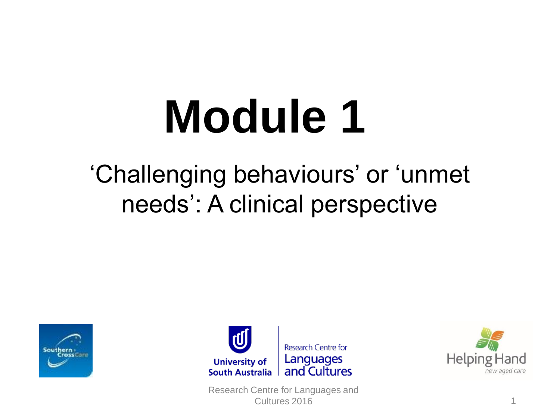# **Module 1**

#### 'Challenging behaviours' or 'unmet needs': A clinical perspective





Research Centre for Languages and Cultures 2016 1

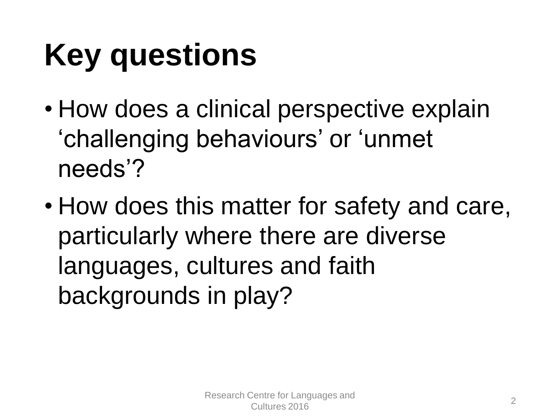## **Key questions**

- How does a clinical perspective explain 'challenging behaviours' or 'unmet needs'?
- How does this matter for safety and care, particularly where there are diverse languages, cultures and faith backgrounds in play?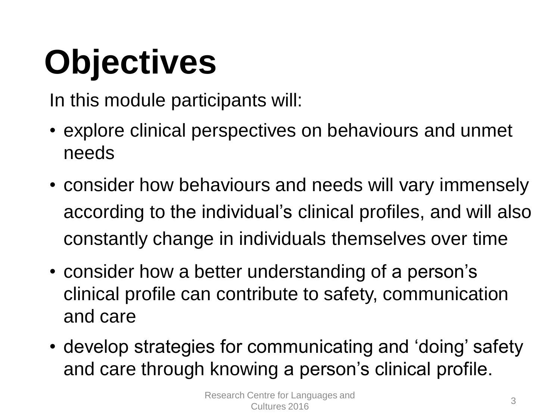# **Objectives**

In this module participants will:

- explore clinical perspectives on behaviours and unmet needs
- consider how behaviours and needs will vary immensely according to the individual's clinical profiles, and will also constantly change in individuals themselves over time
- consider how a better understanding of a person's clinical profile can contribute to safety, communication and care
- develop strategies for communicating and 'doing' safety and care through knowing a person's clinical profile.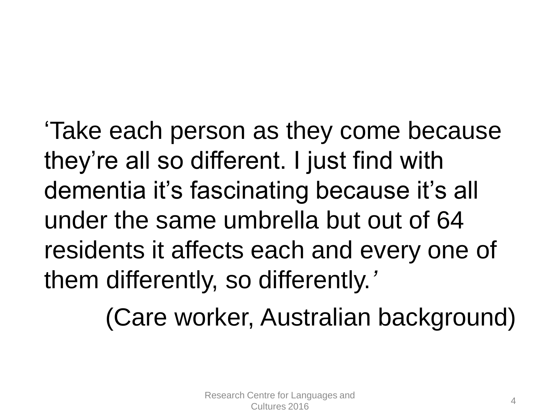'Take each person as they come because they're all so different. I just find with dementia it's fascinating because it's all under the same umbrella but out of 64 residents it affects each and every one of them differently, so differently.*'*

(Care worker, Australian background)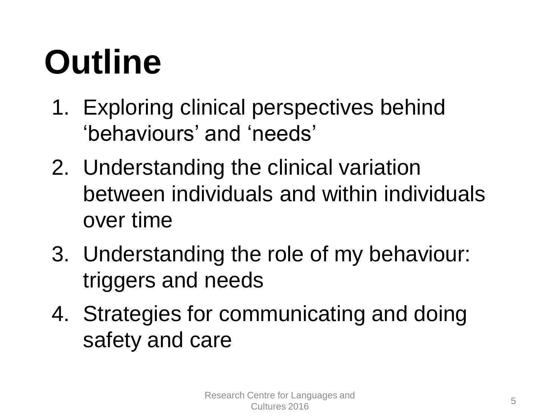## **Outline**

- 1. Exploring clinical perspectives behind 'behaviours' and 'needs'
- 2. Understanding the clinical variation between individuals and within individuals over time
- 3. Understanding the role of my behaviour: triggers and needs
- 4. Strategies for communicating and doing safety and care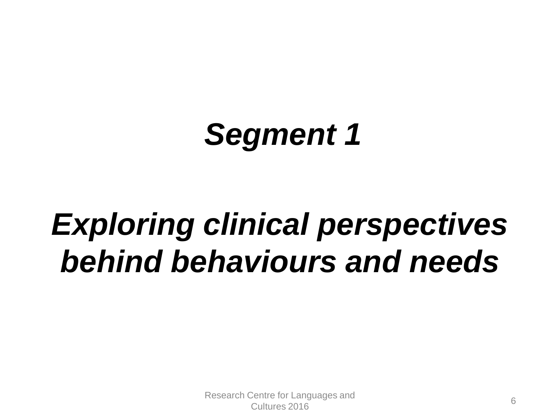## *Segment 1*

## *Exploring clinical perspectives behind behaviours and needs*

Research Centre for Languages and cultures 2016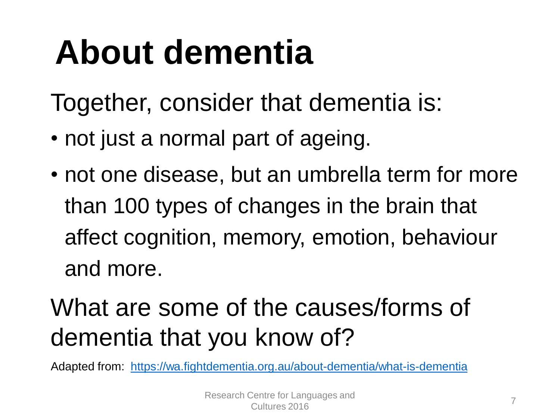## **About dementia**

Together, consider that dementia is:

- not just a normal part of ageing.
- not one disease, but an umbrella term for more than 100 types of changes in the brain that affect cognition, memory, emotion, behaviour and more.

#### What are some of the causes/forms of dementia that you know of?

Adapted from: <https://wa.fightdementia.org.au/about-dementia/what-is-dementia>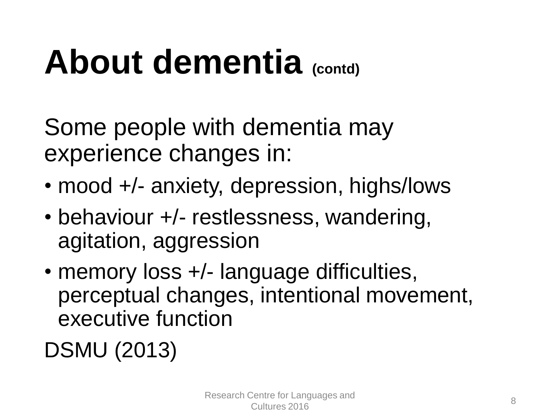## **About dementia (contd)**

Some people with dementia may experience changes in:

- mood +/- anxiety, depression, highs/lows
- behaviour +/- restlessness, wandering, agitation, aggression
- memory loss +/- language difficulties, perceptual changes, intentional movement, executive function

DSMU (2013)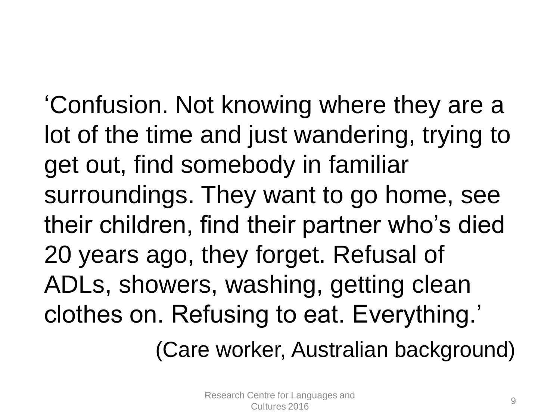'Confusion. Not knowing where they are a lot of the time and just wandering, trying to get out, find somebody in familiar surroundings. They want to go home, see their children, find their partner who's died 20 years ago, they forget. Refusal of ADLs, showers, washing, getting clean clothes on. Refusing to eat. Everything.'

(Care worker, Australian background)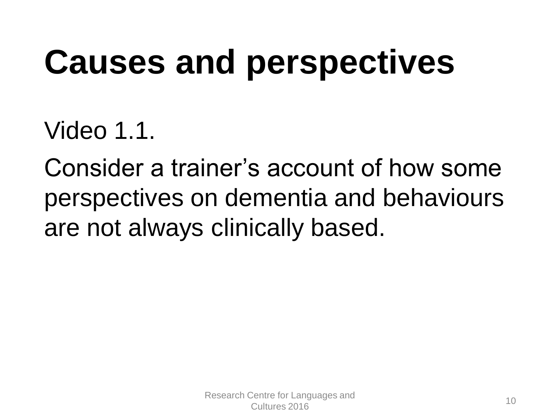## **Causes and perspectives**

Video 1.1.

Consider a trainer's account of how some perspectives on dementia and behaviours are not always clinically based.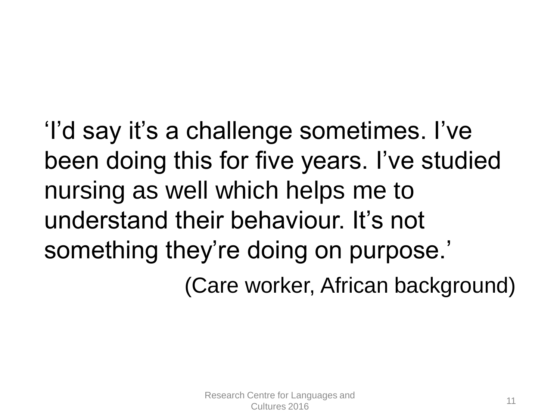'I'd say it's a challenge sometimes. I've been doing this for five years. I've studied nursing as well which helps me to understand their behaviour. It's not something they're doing on purpose.' (Care worker, African background)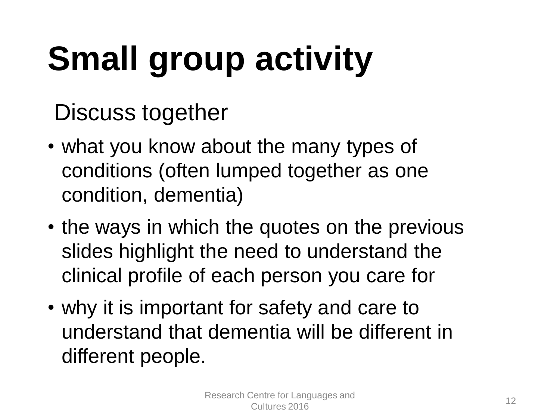# **Small group activity**

Discuss together

- what you know about the many types of conditions (often lumped together as one condition, dementia)
- the ways in which the quotes on the previous slides highlight the need to understand the clinical profile of each person you care for
- why it is important for safety and care to understand that dementia will be different in different people.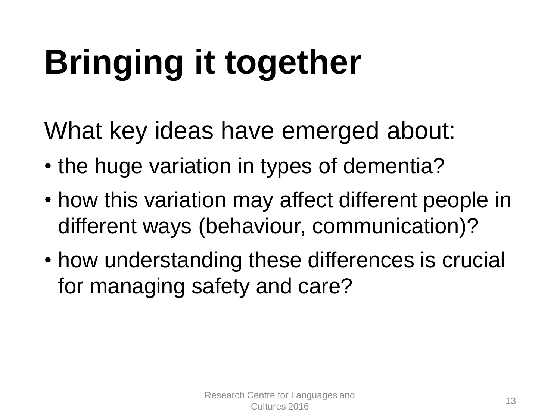# **Bringing it together**

What key ideas have emerged about:

- the huge variation in types of dementia?
- how this variation may affect different people in different ways (behaviour, communication)?
- how understanding these differences is crucial for managing safety and care?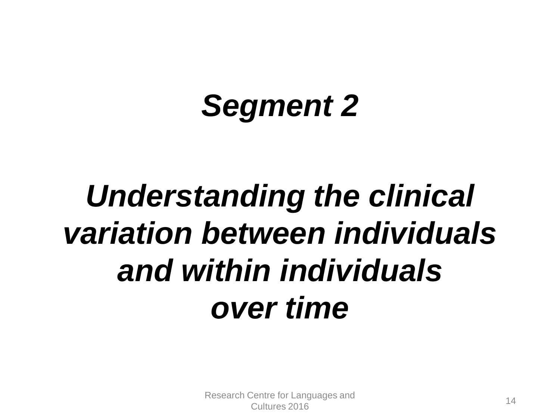## *Segment 2*

## *Understanding the clinical variation between individuals and within individuals over time*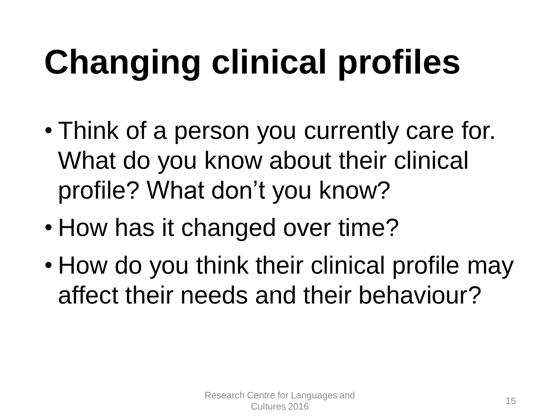# **Changing clinical profiles**

- Think of a person you currently care for. What do you know about their clinical profile? What don't you know?
- How has it changed over time?
- How do you think their clinical profile may affect their needs and their behaviour?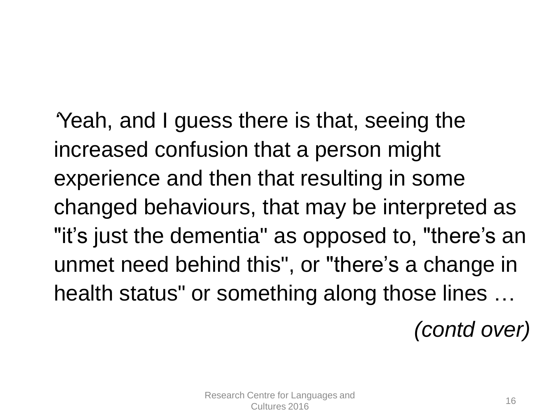*'*Yeah, and I guess there is that, seeing the increased confusion that a person might experience and then that resulting in some changed behaviours, that may be interpreted as "it's just the dementia" as opposed to, "there's an unmet need behind this", or "there's a change in health status" or something along those lines …

*(contd over)*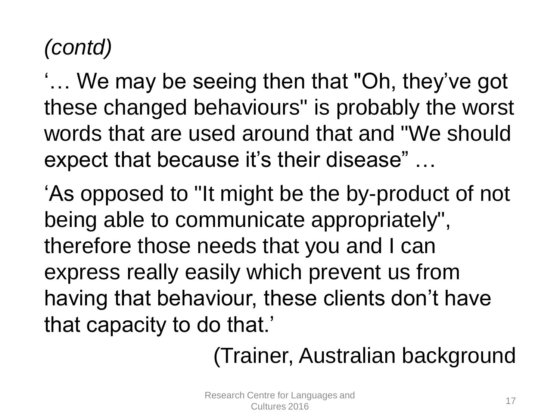#### *(contd)*

'… We may be seeing then that "Oh, they've got these changed behaviours" is probably the worst words that are used around that and "We should expect that because it's their disease" …

'As opposed to "It might be the by-product of not being able to communicate appropriately", therefore those needs that you and I can express really easily which prevent us from having that behaviour, these clients don't have that capacity to do that.'

(Trainer, Australian background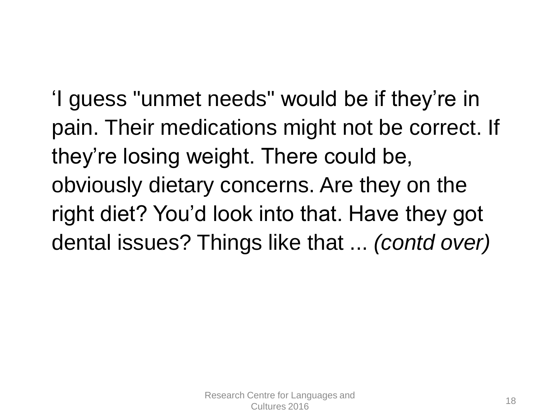'I guess "unmet needs" would be if they're in pain. Their medications might not be correct. If they're losing weight. There could be, obviously dietary concerns. Are they on the right diet? You'd look into that. Have they got dental issues? Things like that ... *(contd over)*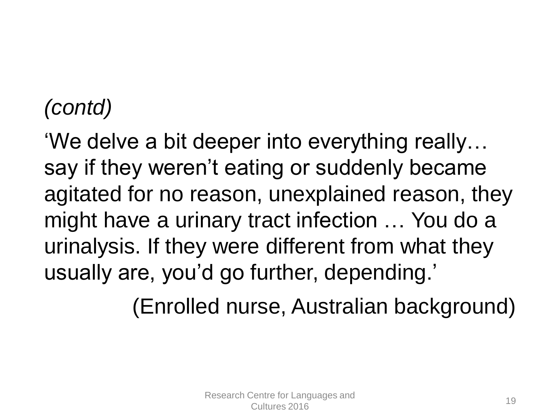#### *(contd)*

'We delve a bit deeper into everything really… say if they weren't eating or suddenly became agitated for no reason, unexplained reason, they might have a urinary tract infection … You do a urinalysis. If they were different from what they usually are, you'd go further, depending.'

(Enrolled nurse, Australian background)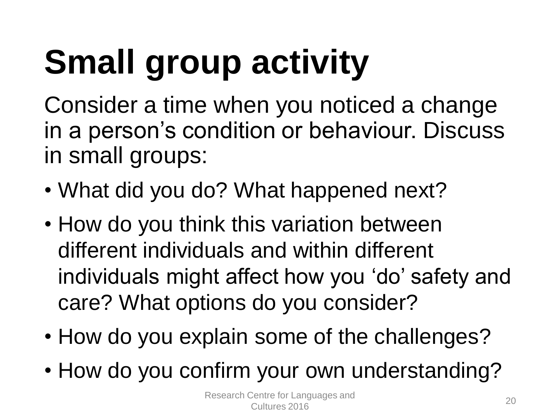# **Small group activity**

Consider a time when you noticed a change in a person's condition or behaviour. Discuss in small groups:

- What did you do? What happened next?
- How do you think this variation between different individuals and within different individuals might affect how you 'do' safety and care? What options do you consider?
- How do you explain some of the challenges?
- How do you confirm your own understanding?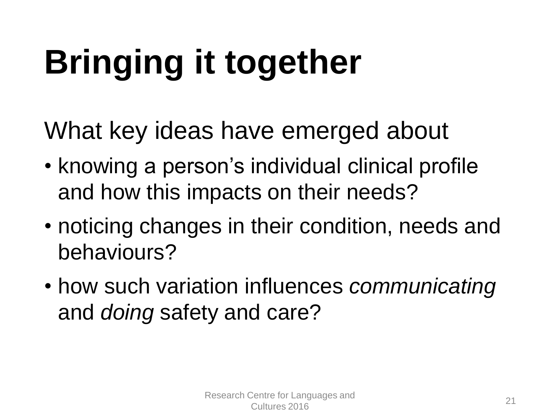# **Bringing it together**

What key ideas have emerged about

- knowing a person's individual clinical profile and how this impacts on their needs?
- noticing changes in their condition, needs and behaviours?
- how such variation influences *communicating* and *doing* safety and care?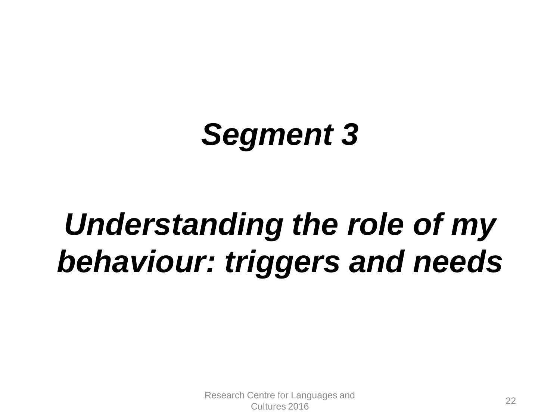### *Segment 3*

## *Understanding the role of my behaviour: triggers and needs*

Research Centre for Languages and Schliefer Early and Schliefer 22<br>Cultures 2016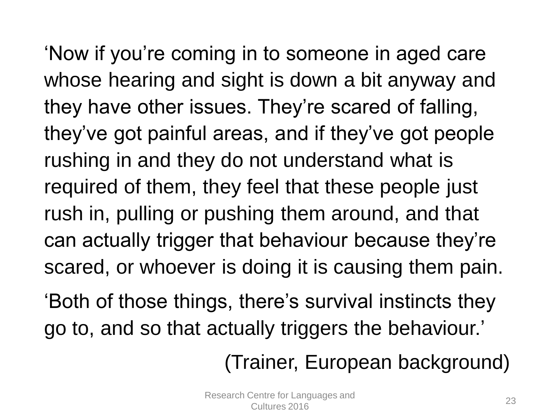'Now if you're coming in to someone in aged care whose hearing and sight is down a bit anyway and they have other issues. They're scared of falling, they've got painful areas, and if they've got people rushing in and they do not understand what is required of them, they feel that these people just rush in, pulling or pushing them around, and that can actually trigger that behaviour because they're scared, or whoever is doing it is causing them pain.

'Both of those things, there's survival instincts they go to, and so that actually triggers the behaviour.'

(Trainer, European background)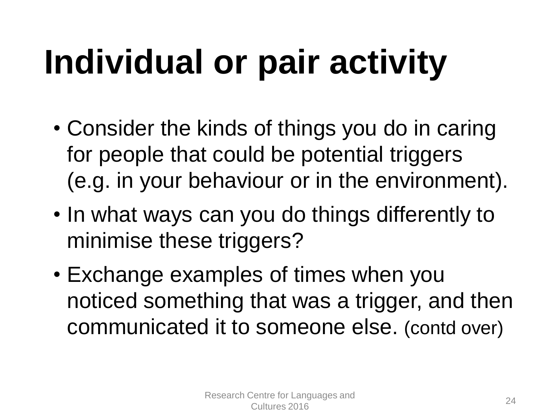# **Individual or pair activity**

- Consider the kinds of things you do in caring for people that could be potential triggers (e.g. in your behaviour or in the environment).
- In what ways can you do things differently to minimise these triggers?
- Exchange examples of times when you noticed something that was a trigger, and then communicated it to someone else. (contd over)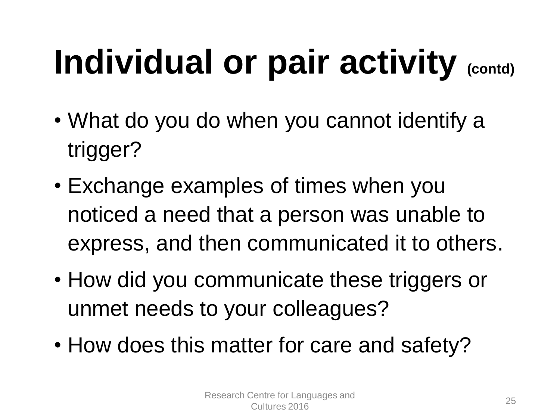# **Individual or pair activity (contd)**

- What do you do when you cannot identify a trigger?
- Exchange examples of times when you noticed a need that a person was unable to express, and then communicated it to others.
- How did you communicate these triggers or unmet needs to your colleagues?
- How does this matter for care and safety?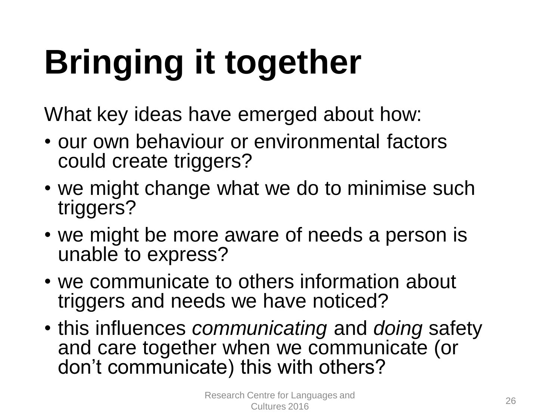# **Bringing it together**

What key ideas have emerged about how:

- our own behaviour or environmental factors could create triggers?
- we might change what we do to minimise such triggers?
- we might be more aware of needs a person is unable to express?
- we communicate to others information about triggers and needs we have noticed?
- this influences *communicating* and *doing* safety and care together when we communicate (or don't communicate) this with others?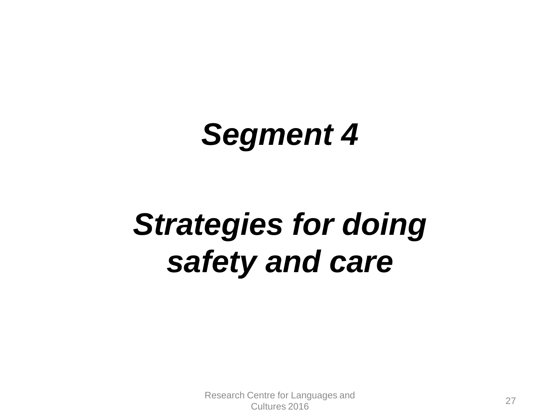#### *Segment 4*

## *Strategies for doing safety and care*

Research Centre for Languages and Schließer Europäigung 2016<br>Cultures 2016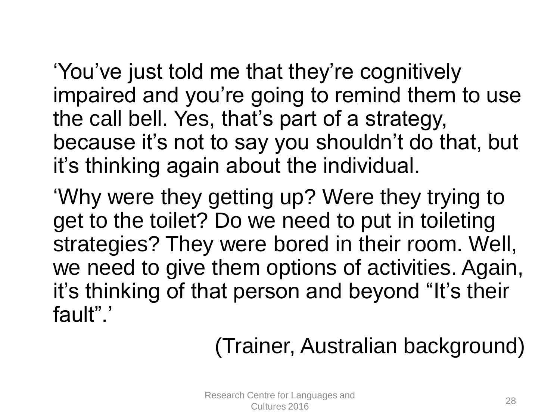'You've just told me that they're cognitively impaired and you're going to remind them to use the call bell. Yes, that's part of a strategy, because it's not to say you shouldn't do that, but it's thinking again about the individual.

'Why were they getting up? Were they trying to get to the toilet? Do we need to put in toileting strategies? They were bored in their room. Well, we need to give them options of activities. Again, it's thinking of that person and beyond "It's their fault".'

#### (Trainer, Australian background)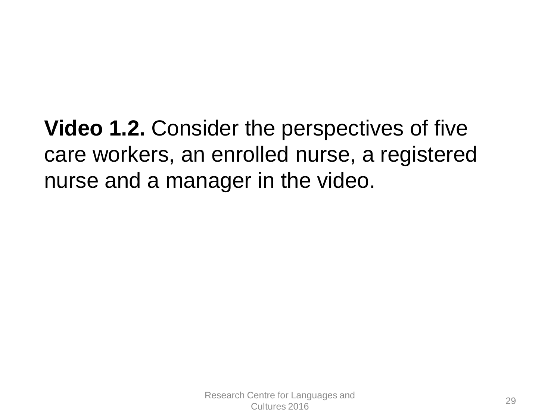**Video 1.2.** Consider the perspectives of five care workers, an enrolled nurse, a registered nurse and a manager in the video.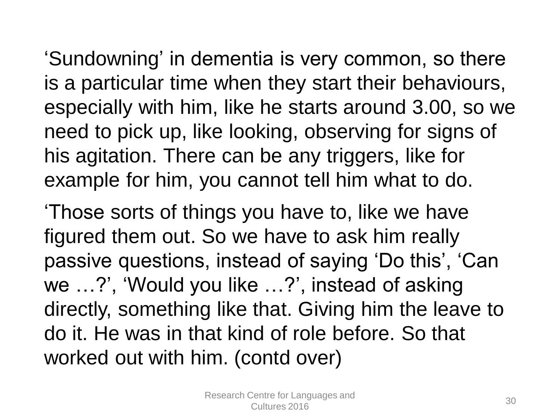'Sundowning' in dementia is very common, so there is a particular time when they start their behaviours, especially with him, like he starts around 3.00, so we need to pick up, like looking, observing for signs of his agitation. There can be any triggers, like for example for him, you cannot tell him what to do.

'Those sorts of things you have to, like we have figured them out. So we have to ask him really passive questions, instead of saying 'Do this', 'Can we …?', 'Would you like …?', instead of asking directly, something like that. Giving him the leave to do it. He was in that kind of role before. So that worked out with him. (contd over)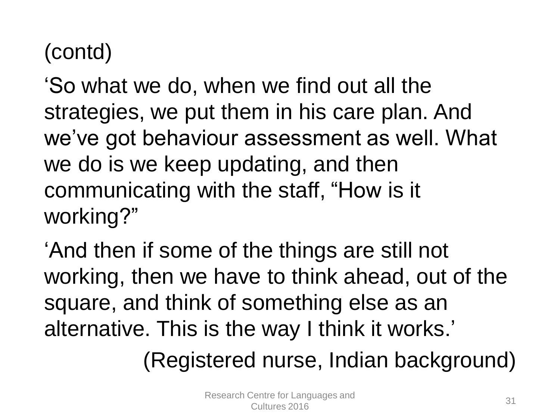#### (contd)

'So what we do, when we find out all the strategies, we put them in his care plan. And we've got behaviour assessment as well. What we do is we keep updating, and then communicating with the staff, "How is it working?"

'And then if some of the things are still not working, then we have to think ahead, out of the square, and think of something else as an alternative. This is the way I think it works.'

(Registered nurse, Indian background)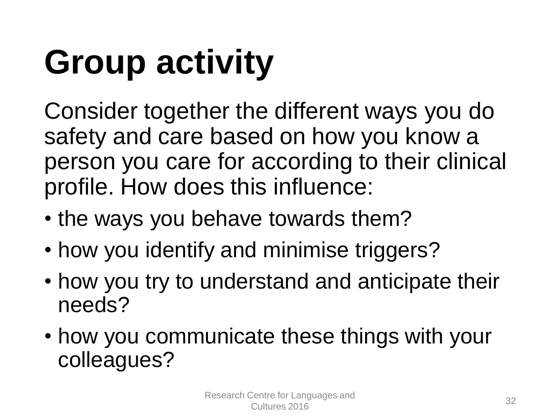# **Group activity**

Consider together the different ways you do safety and care based on how you know a person you care for according to their clinical profile. How does this influence:

- the ways you behave towards them?
- how you identify and minimise triggers?
- how you try to understand and anticipate their needs?
- how you communicate these things with your colleagues?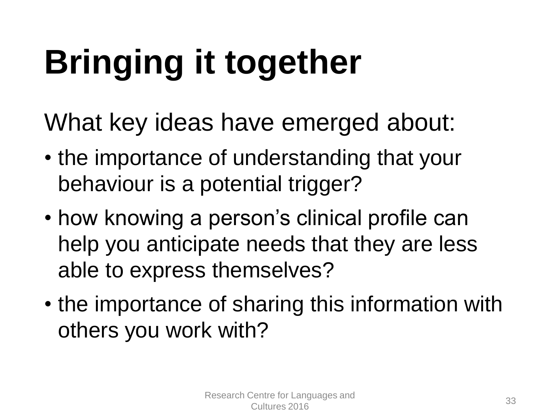# **Bringing it together**

What key ideas have emerged about:

- the importance of understanding that your behaviour is a potential trigger?
- how knowing a person's clinical profile can help you anticipate needs that they are less able to express themselves?
- the importance of sharing this information with others you work with?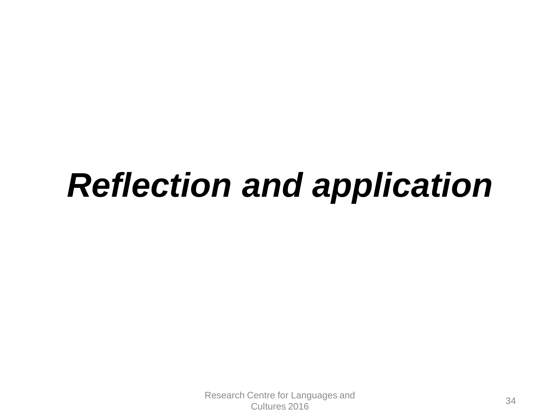## *Reflection and application*

Research Centre for Languages and Senne for Languages and<br>Cultures 2016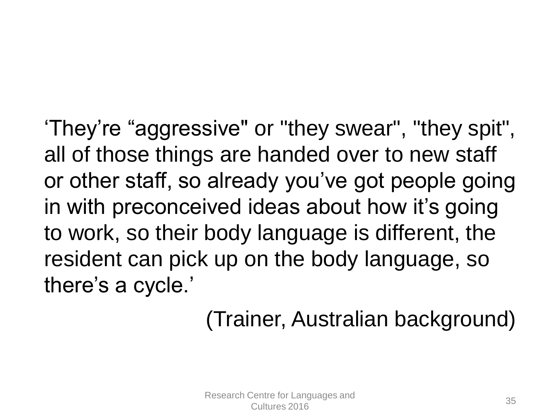'They're "aggressive" or "they swear", "they spit", all of those things are handed over to new staff or other staff, so already you've got people going in with preconceived ideas about how it's going to work, so their body language is different, the resident can pick up on the body language, so there's a cycle.'

#### (Trainer, Australian background)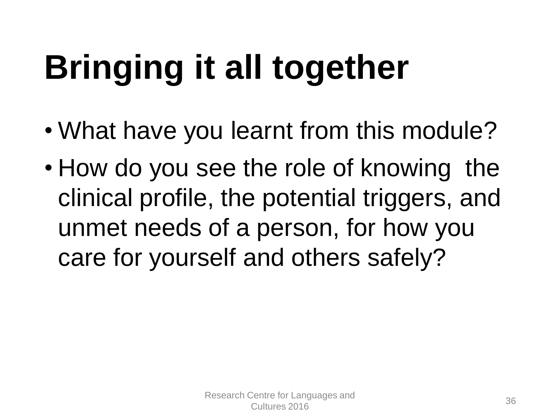## **Bringing it all together**

- What have you learnt from this module?
- How do you see the role of knowing the clinical profile, the potential triggers, and unmet needs of a person, for how you care for yourself and others safely?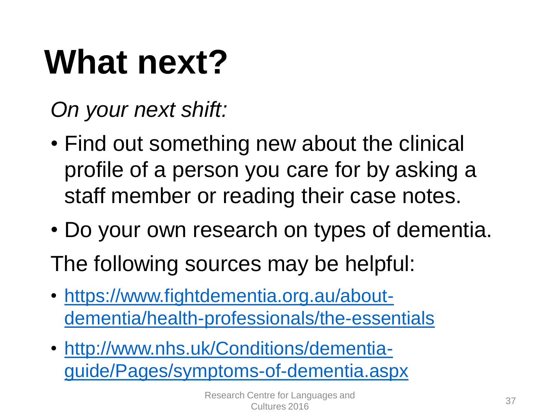## **What next?**

*On your next shift:* 

- Find out something new about the clinical profile of a person you care for by asking a staff member or reading their case notes.
- Do your own research on types of dementia.

The following sources may be helpful:

- https://www.fightdementia.org.au/about[dementia/health-professionals/the-essentials](https://www.fightdementia.org.au/about-dementia/health-professionals/the-essentials)
- http://www.nhs.uk/Conditions/dementia[guide/Pages/symptoms-of-dementia.aspx](http://www.nhs.uk/Conditions/dementia-guide/Pages/symptoms-of-dementia.aspx)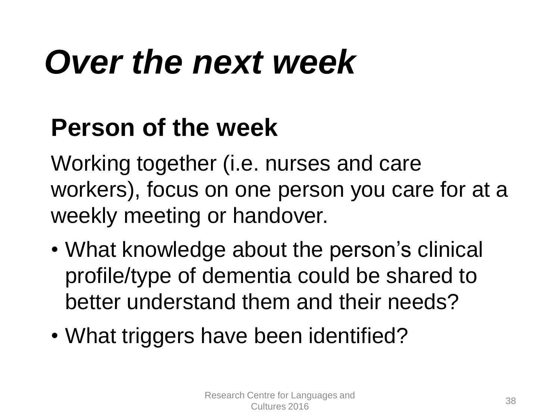## *Over the next week*

#### **Person of the week**

Working together (i.e. nurses and care workers), focus on one person you care for at a weekly meeting or handover.

- What knowledge about the person's clinical profile/type of dementia could be shared to better understand them and their needs?
- What triggers have been identified?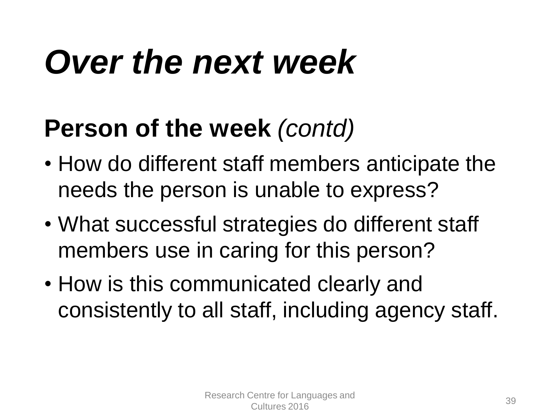## *Over the next week*

#### **Person of the week** *(contd)*

- How do different staff members anticipate the needs the person is unable to express?
- What successful strategies do different staff members use in caring for this person?
- How is this communicated clearly and consistently to all staff, including agency staff.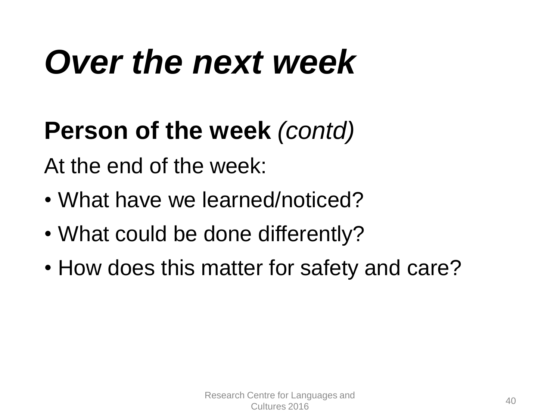## *Over the next week*

#### **Person of the week** *(contd)*

At the end of the week:

- What have we learned/noticed?
- What could be done differently?
- How does this matter for safety and care?